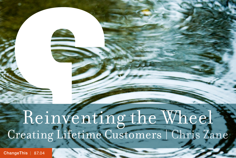# Reinventing the Wheel Creating Lifetime Customers | Chris Zane

[ChangeThis](http://changethis.com) | 87.04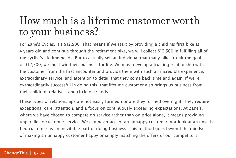### How much is a lifetime customer worth to your business?

For Zane's Cycles, it's \$12,500. That means if we start by providing a child his first bike at 4-years-old and continue through the retirement bike, we will collect \$12,500 in fulfilling all of the cyclist's lifetime needs. But to actually sell an individual that many bikes to hit the goal of \$12,500, we must win their business for life. We must develop a trusting relationship with the customer from the first encounter and provide them with such an incredible experience, extraordinary service, and attention to detail that they come back time and again. If we're extraordinarily successful in doing this, that lifetime customer also brings us business from their children, relatives, and circle of friends.

These types of relationships are not easily formed nor are they formed overnight. They require exceptional care, attention, and a focus on continuously exceeding expectations. At Zane's, where we have chosen to compete on service rather than on price alone, it means providing unparalleled customer service. We can never accept an unhappy customer, nor look at an unsatisfied customer as an inevitable part of doing business. This method goes beyond the mindset of making an unhappy customer happy or simply matching the offers of our competitors.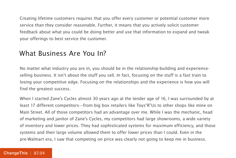Creating lifetime customers requires that you offer every customer or potential customer more service than they consider reasonable. Further, it means that you actively solicit customer feedback about what you could be doing better and use that information to expand and tweak your offerings to best service the customer.

#### What Business Are You In?

No matter what industry you are in, you should be in the relationship-building and experienceselling business. It isn't about the stuff you sell. In fact, focusing on the stuff is a fast train to losing your competitive edge. Focusing on the relationships and the experience is how you will find the greatest success.

When I started Zane's Cycles almost 30 years ago at the tender age of 16, I was surrounded by at least 17 different competitors—from big box retailers like Toys"R"Us to other shops like mine on Main Street. All of those competitors had an advantage over me. While I was the mechanic, head of marketing and janitor of Zane's Cycles, my competitors had large showrooms, a wide variety of inventory and lower prices. They had sophisticated systems for maximum efficiency, and those systems and their large volume allowed them to offer lower prices than I could. Even in the pre-Walmart era, I saw that competing on price was clearly not going to keep me in business.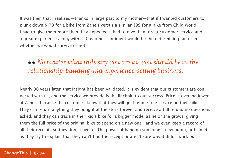It was then that I realized—thanks in large part to my mother—that if I wanted customers to plunk down \$179 for a bike from Zane's versus a similar \$99 for a bike from Child World, I had to give them more than they expected. I had to give them great customer service and a great experience along with it. Customer sentiment would be the determining factor in whether we would survive or not.

#### *No matter what industry you are in, you should be in the*  66<br>*rel relationship-building and experience-selling business.*

Nearly 30 years later, that insight has been validated. It is evident that our customers are connected with us, and the service we provide is the linchpin to our success. Price is overshadowed at Zane's, because the customers know that they will get lifetime free service on their bike. They can return anything they bought at the store forever and receive a full refund no questions asked, and they can trade in their kid's bike for a bigger model as he or she grows, giving them the full price of the original bike to spend on a new one—and we even keep a record of all their receipts so they don't have to. The power of handing someone a new pump, or helmet, as they try to explain that they can't find the receipt or aren't sure why it didn't work out is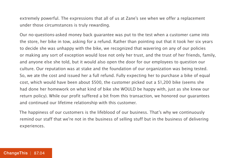extremely powerful. The expressions that all of us at Zane's see when we offer a replacement under those circumstances is truly rewarding.

Our no-questions-asked money back guarantee was put to the test when a customer came into the store, her bike in tow, asking for a refund. Rather than pointing out that it took her six years to decide she was unhappy with the bike, we recognized that wavering on any of our policies or making any sort of exception would lose not only her trust, and the trust of her friends, family, and anyone else she told, but it would also open the door for our employees to question our culture. Our reputation was at stake and the foundation of our organization was being tested. So, we ate the cost and issued her a full refund. Fully expecting her to purchase a bike of equal cost, which would have been about \$500, the customer picked out a \$1,200 bike (seems she had done her homework on what kind of bike she WOULD be happy with, just as she knew our return policy). While our profit suffered a bit from this transaction, we honored our guarantees and continued our lifetime relationship with this customer.

The happiness of our customers is the lifeblood of our business. That's why we continuously remind our staff that we're not in the business of selling stuff but in the business of delivering experiences.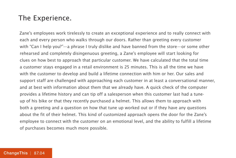#### The Experience.

Zane's employees work tirelessly to create an exceptional experience and to really connect with each and every person who walks through our doors. Rather than greeting every customer with "Can I help you?"—a phrase I truly dislike and have banned from the store—or some other rehearsed and completely disingenuous greeting, a Zane's employee will start looking for clues on how best to approach that particular customer. We have calculated that the total time a customer stays engaged in a retail environment is 25 minutes. This is all the time we have with the customer to develop and build a lifetime connection with him or her. Our sales and support staff are challenged with approaching each customer in at least a conversational manner, and at best with information about them that we already have. A quick check of the computer provides a lifetime history and can tip off a salesperson when this customer last had a tuneup of his bike or that they recently purchased a helmet. This allows them to approach with both a greeting and a question on how that tune up worked out or if they have any questions about the fit of their helmet. This kind of customized approach opens the door for the Zane's employee to connect with the customer on an emotional level, and the ability to fulfill a lifetime of purchases becomes much more possible.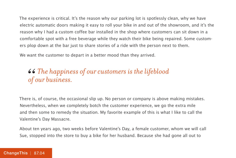The experience is critical. It's the reason why our parking lot is spotlessly clean, why we have electric automatic doors making it easy to roll your bike in and out of the showroom, and it's the reason why I had a custom coffee bar installed in the shop where customers can sit down in a comfortable spot with a free beverage while they watch their bike being repaired. Some customers plop down at the bar just to share stories of a ride with the person next to them.

We want the customer to depart in a better mood than they arrived.

#### *The happiness of our customers is the lifeblood*  66<br>of *of our business.*

There is, of course, the occasional slip up. No person or company is above making mistakes. Nevertheless, when we completely botch the customer experience, we go the extra mile and then some to remedy the situation. My favorite example of this is what I like to call the Valentine's Day Massacre.

About ten years ago, two weeks before Valentine's Day, a female customer, whom we will call Sue, stopped into the store to buy a bike for her husband. Because she had gone all out to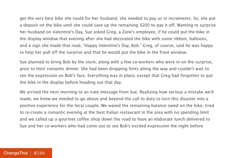get the very best bike she could for her husband, she needed to pay us in increments. So, she put a deposit on the bike until she could save up the remaining \$200 to pay it off. Wanting to surprise her husband on Valentine's Day, Sue asked Greg, a Zane's employee, if he could put the bike in the display window that evening after she had decorated the bike with some ribbon, balloons, and a sign she made that read, "Happy Valentine's Day, Bob." Greg, of course, said he was happy to help her pull off the surprise and that he would put the bike in the front window.

Sue planned to bring Bob by the store, along with a few co-workers who were in on the surprise, prior to their romantic dinner. She had been dropping hints along the way and couldn't wait to see the expression on Bob's face. Everything was in place, except that Greg had forgotten to put the bike in the display before heading out that day.

We arrived the next morning to an irate message from Sue. Realizing how serious a mistake we'd made, we knew we needed to go above and beyond the call to duty to turn this disaster into a positive experience for the local couple. We waved the remaining balance owed on the bike, tried to re-create a romantic evening at the best Italian restaurant in the area with no spending limit and we called up a gourmet coffee shop down the road to have an elaborate lunch delivered to Sue and her co-workers who had come out to see Bob's excited expression the night before.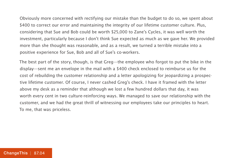Obviously more concerned with rectifying our mistake than the budget to do so, we spent about \$400 to correct our error and maintaining the integrity of our lifetime customer culture. Plus, considering that Sue and Bob could be worth \$25,000 to Zane's Cycles, it was well worth the investment, particularly because I don't think Sue expected as much as we gave her. We provided more than she thought was reasonable, and as a result, we turned a terrible mistake into a positive experience for Sue, Bob and all of Sue's co-workers.

The best part of the story, though, is that Greg—the employee who forgot to put the bike in the display—sent me an envelope in the mail with a \$400 check enclosed to reimburse us for the cost of rebuilding the customer relationship and a letter apologizing for jeopardizing a prospective lifetime customer. Of course, I never cashed Greg's check. I have it framed with the letter above my desk as a reminder that although we lost a few hundred dollars that day, it was worth every cent in two culture-reinforcing ways. We managed to save our relationship with the customer, and we had the great thrill of witnessing our employees take our principles to heart. To me, that was priceless.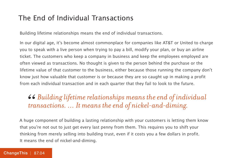#### The End of Individual Transactions

Building lifetime relationships means the end of individual transactions.

In our digital age, it's become almost commonplace for companies like AT&T or United to charge you to speak with a live person when trying to pay a bill, modify your plan, or buy an airline ticket. The customers who keep a company in business and keep the employees employed are often viewed as transactions. No thought is given to the person behind the purchase or the lifetime value of that customer to the business, either because those running the company don't know just how valuable that customer is or because they are so caught up in making a profit from each individual transaction and in each quarter that they fail to look to the future.

 $\bullet$   $\bullet$  Building lifetime relationships means the end of individual transactions.  $\ldots$  It means the end of nickel-and-diming. *transactions. … It means the end of nickel-and-diming.*

A huge component of building a lasting relationship with your customers is letting them know that you're not out to just get every last penny from them. This requires you to shift your thinking from merely selling into building trust, even if it costs you a few dollars in profit. It means the end of nickel-and-diming.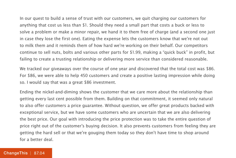In our quest to build a sense of trust with our customers, we quit charging our customers for anything that cost us less than \$1. Should they need a small part that costs a buck or less to solve a problem or make a minor repair, we hand it to them free of charge (and a second one just in case they lose the first one). Eating the expense lets the customers know that we're not out to milk them and it reminds them of how hard we're working on their behalf. Our competitors continue to sell nuts, bolts and various other parts for \$1.99, making a "quick buck" in profit, but failing to create a trusting relationship or delivering more service than considered reasonable.

We tracked our giveaways over the course of one year and discovered that the total cost was \$86. For \$86, we were able to help 450 customers and create a positive lasting impression while doing so. I would say that was a great \$86 investment.

Ending the nickel-and-diming shows the customer that we care more about the relationship than getting every last cent possible from them. Building on that commitment, it seemed only natural to also offer customers a price guarantee. Without question, we offer great products backed with exceptional service, but we have some customers who are uncertain that we are also delivering the best price. Our goal with introducing the price protection was to take the entire question of price right out of the customer's buying decision. It also prevents customers from feeling they are getting the hard sell or that we're gouging them today so they don't have time to shop around for a better deal.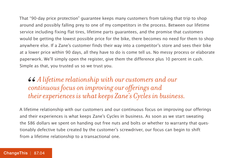That "90-day price protection" guarantee keeps many customers from taking that trip to shop around and possibly falling prey to one of my competitors in the process. Between our lifetime service including fixing flat tires, lifetime parts guarantees, and the promise that customers would be getting the lowest possible price for the bike, there becomes no need for them to shop anywhere else. If a Zane's customer finds their way into a competitor's store and sees their bike at a lower price within 90 days, all they have to do is come tell us. No messy process or elaborate paperwork. We'll simply open the register, give them the difference plus 10 percent in cash. Simple as that, you trusted us so we trust you.

*A lifetime relationship with our customers and our continuous focus on improving our offerings and their experiences is what keeps Zane's Cycles in business.* 66<br>*con*<br>the

A lifetime relationship with our customers and our continuous focus on improving our offerings and their experiences is what keeps Zane's Cycles in business. As soon as we start sweating the \$86 dollars we spent on handing out free nuts and bolts or whether to warranty that questionably defective tube created by the customer's screwdriver, our focus can begin to shift from a lifetime relationship to a transactional one.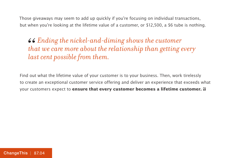Those giveaways may seem to add up quickly if you're focusing on individual transactions, but when you're looking at the lifetime value of a customer, or \$12,500, a \$6 tube is nothing.

*Ending the nickel-and-diming shows the customer that we care more about the relationship than getting every last cent possible from them.* 66<br>the<br>las

Find out what the lifetime value of your customer is to your business. Then, work tirelessly to create an exceptional customer service offering and deliver an experience that exceeds what your customers expect to **ensure that every customer becomes a lifetime customer.**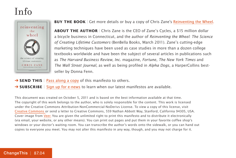### Info



**BUY THE BOOK** | Get more details or buy a copy of Chris Zane's [Reinventing the Wheel.](http://800ceoread.com/book/show/9781935618157-Reinventing_the_Wheel)

**ABOUT THE AUTHOR** | Chris Zane is the CEO of Zane's Cycles, a \$15 million dollar a bicycle business in Connecticut, and the author of Reinventing the Wheel: The Science of Creating Lifetime Customers (BenBella Books, March 2011). Zane's cutting-edge marketing techniques have been used as case studies in more than a dozen college textbooks worldwide and have been the subject of several articles in publications such as The Harvard Business Review, Inc. magazine, Fortune, The New York Times and The Wall Street Journal, as well as being profiled in Alpha Dogs, a HarperCollins bestseller by Donna Fenn.

- **→ SEND THIS** | [Pass along a copy](http://www.changethis.com/87.04.CreatingLifetimeCustomers/email) of this manifesto to others.
- **→ SUBSCRIBE** | Sign up fo[r e-news](http://changethis.com/page/show/e_mail_newsletter) to learn when our latest manifestos are available.

This document was created on October 5, 2011 and is based on the best information available at that time. The copyright of this work belongs to the author, who is solely responsible for the content. This work is licensed under the Creative Commons Attribution-NonCommercial-NoDerivs License. To view a copy of this license, visit [Creative Commons](http://creativecommons.org/licenses/by-nc-nd/2.0/) or send a letter to Creative Commons, 559 Nathan Abbott Way, Stanford, California 94305, USA. Cover image from Veer. You are given the unlimited right to print this manifesto and to distribute it electronically (via email, your website, or any other means). You can print out pages and put them in your favorite coffee shop's windows or your doctor's waiting room. You can transcribe the author's words onto the sidewalk, or you can hand out copies to everyone you meet. You may not alter this manifesto in any way, though, and you may not charge for it.